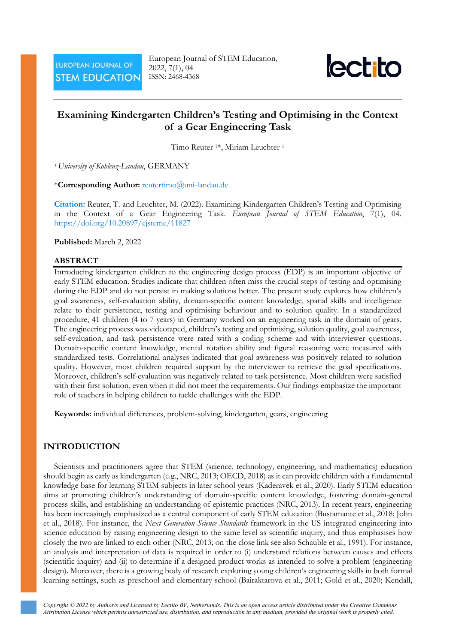European Journal of STEM Education, 2022, 7(1), 04 ISSN: 2468-4368



# **Examining Kindergarten Children's Testing and Optimising in the Context of a Gear Engineering Task**

Timo Reuter 1\*, Miriam Leuchter <sup>1</sup>

*<sup>1</sup> University of Koblenz-Landau*, GERMANY

\***Corresponding Author:** [reutertimo@uni-landau.de](mailto:reutertimo@uni-landau.de)

**Citation:** Reuter, T. and Leuchter, M. (2022). Examining Kindergarten Children's Testing and Optimising in the Context of a Gear Engineering Task. *European Journal of STEM Education*, 7(1), 04. <https://doi.org/10.20897/ejsteme/11827>

**Published:** March 2, 2022

#### **ABSTRACT**

Introducing kindergarten children to the engineering design process (EDP) is an important objective of early STEM education. Studies indicate that children often miss the crucial steps of testing and optimising during the EDP and do not persist in making solutions better. The present study explores how children's goal awareness, self-evaluation ability, domain-specific content knowledge, spatial skills and intelligence relate to their persistence, testing and optimising behaviour and to solution quality. In a standardized procedure, 41 children (4 to 7 years) in Germany worked on an engineering task in the domain of gears. The engineering process was videotaped, children's testing and optimising, solution quality, goal awareness, self-evaluation, and task persistence were rated with a coding scheme and with interviewer questions. Domain-specific content knowledge, mental rotation ability and figural reasoning were measured with standardized tests. Correlational analyses indicated that goal awareness was positively related to solution quality. However, most children required support by the interviewer to retrieve the goal specifications. Moreover, children's self-evaluation was negatively related to task persistence. Most children were satisfied with their first solution, even when it did not meet the requirements. Our findings emphasize the important role of teachers in helping children to tackle challenges with the EDP.

**Keywords:** individual differences, problem-solving, kindergarten, gears, engineering

### **INTRODUCTION**

Scientists and practitioners agree that STEM (science, technology, engineering, and mathematics) education should begin as early as kindergarten (e.g., NRC, 2013; OECD, 2018) as it can provide children with a fundamental knowledge base for learning STEM subjects in later school years (Kaderavek et al., 2020). Early STEM education aims at promoting children's understanding of domain-specific content knowledge, fostering domain-general process skills, and establishing an understanding of epistemic practices (NRC, 2013). In recent years, engineering has been increasingly emphasized as a central component of early STEM education (Bustamante et al., 2018; John et al., 2018). For instance, the *Next Generation Science Standards* framework in the US integrated engineering into science education by raising engineering design to the same level as scientific inquiry, and thus emphasises how closely the two are linked to each other (NRC, 2013; on the close link see also Schauble et al., 1991). For instance, an analysis and interpretation of data is required in order to (i) understand relations between causes and effects (scientific inquiry) and (ii) to determine if a designed product works as intended to solve a problem (engineering design). Moreover, there is a growing body of research exploring young children's engineering skills in both formal learning settings, such as preschool and elementary school (Bairaktarova et al., 2011; Gold et al., 2020; Kendall,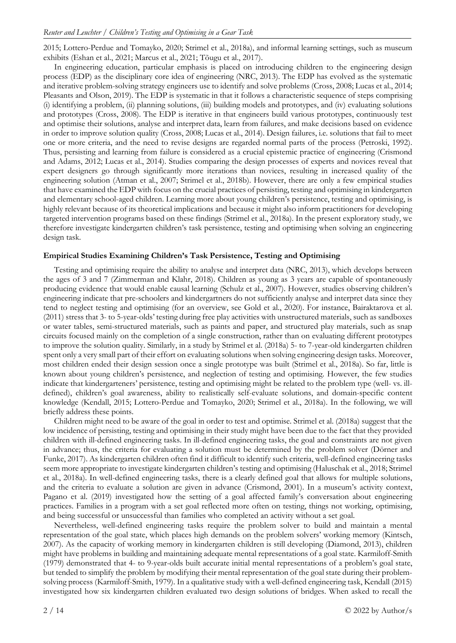2015; Lottero-Perdue and Tomayko, 2020; Strimel et al., 2018a), and informal learning settings, such as museum exhibits (Eshan et al., 2021; Marcus et al., 2021; Tõugu et al., 2017).

In engineering education, particular emphasis is placed on introducing children to the engineering design process (EDP) as the disciplinary core idea of engineering (NRC, 2013). The EDP has evolved as the systematic and iterative problem-solving strategy engineers use to identify and solve problems (Cross, 2008; Lucas et al., 2014; Pleasants and Olson, 2019). The EDP is systematic in that it follows a characteristic sequence of steps comprising (i) identifying a problem, (ii) planning solutions, (iii) building models and prototypes, and (iv) evaluating solutions and prototypes (Cross, 2008). The EDP is iterative in that engineers build various prototypes, continuously test and optimise their solutions, analyse and interpret data, learn from failures, and make decisions based on evidence in order to improve solution quality (Cross, 2008; Lucas et al., 2014). Design failures, i.e. solutions that fail to meet one or more criteria, and the need to revise designs are regarded normal parts of the process (Petroski, 1992). Thus, persisting and learning from failure is considered as a crucial epistemic practice of engineering (Crismond and Adams, 2012; Lucas et al., 2014). Studies comparing the design processes of experts and novices reveal that expert designers go through significantly more iterations than novices, resulting in increased quality of the engineering solution (Atman et al., 2007; Strimel et al., 2018b). However, there are only a few empirical studies that have examined the EDP with focus on the crucial practices of persisting, testing and optimising in kindergarten and elementary school-aged children. Learning more about young children's persistence, testing and optimising, is highly relevant because of its theoretical implications and because it might also inform practitioners for developing targeted intervention programs based on these findings (Strimel et al., 2018a). In the present exploratory study, we therefore investigate kindergarten children's task persistence, testing and optimising when solving an engineering design task.

### **Empirical Studies Examining Children's Task Persistence, Testing and Optimising**

Testing and optimising require the ability to analyse and interpret data (NRC, 2013), which develops between the ages of 3 and 7 (Zimmerman and Klahr, 2018). Children as young as 3 years are capable of spontaneously producing evidence that would enable causal learning (Schulz et al., 2007). However, studies observing children's engineering indicate that pre-schoolers and kindergartners do not sufficiently analyse and interpret data since they tend to neglect testing and optimising (for an overview, see Gold et al., 2020). For instance, Bairaktarova et al. (2011) stress that 3- to 5-year-olds' testing during free play activities with unstructured materials, such as sandboxes or water tables, semi-structured materials, such as paints and paper, and structured play materials, such as snap circuits focused mainly on the completion of a single construction, rather than on evaluating different prototypes to improve the solution quality. Similarly, in a study by Strimel et al. (2018a) 5- to 7-year-old kindergarten children spent only a very small part of their effort on evaluating solutions when solving engineering design tasks. Moreover, most children ended their design session once a single prototype was built (Strimel et al., 2018a). So far, little is known about young children's persistence, and neglection of testing and optimising. However, the few studies indicate that kindergarteners' persistence, testing and optimising might be related to the problem type (well- vs. illdefined), children's goal awareness, ability to realistically self-evaluate solutions, and domain-specific content knowledge (Kendall, 2015; Lottero-Perdue and Tomayko, 2020; Strimel et al., 2018a). In the following, we will briefly address these points.

Children might need to be aware of the goal in order to test and optimise. Strimel et al. (2018a) suggest that the low incidence of persisting, testing and optimising in their study might have been due to the fact that they provided children with ill-defined engineering tasks. In ill-defined engineering tasks, the goal and constraints are not given in advance; thus, the criteria for evaluating a solution must be determined by the problem solver (Dörner and Funke, 2017). As kindergarten children often find it difficult to identify such criteria, well-defined engineering tasks seem more appropriate to investigate kindergarten children's testing and optimising (Haluschak et al., 2018; Strimel et al., 2018a). In well-defined engineering tasks, there is a clearly defined goal that allows for multiple solutions, and the criteria to evaluate a solution are given in advance (Crismond, 2001). In a museum's activity context, Pagano et al. (2019) investigated how the setting of a goal affected family's conversation about engineering practices. Families in a program with a set goal reflected more often on testing, things not working, optimising, and being successful or unsuccessful than families who completed an activity without a set goal.

Nevertheless, well-defined engineering tasks require the problem solver to build and maintain a mental representation of the goal state, which places high demands on the problem solvers' working memory (Kintsch, 2007). As the capacity of working memory in kindergarten children is still developing (Diamond, 2013), children might have problems in building and maintaining adequate mental representations of a goal state. Karmiloff-Smith (1979) demonstrated that 4- to 9-year-olds built accurate initial mental representations of a problem's goal state, but tended to simplify the problem by modifying their mental representation of the goal state during their problemsolving process (Karmiloff-Smith, 1979). In a qualitative study with a well-defined engineering task, Kendall (2015) investigated how six kindergarten children evaluated two design solutions of bridges. When asked to recall the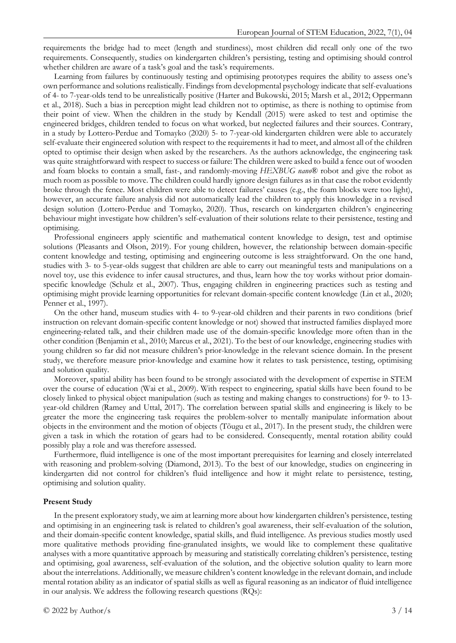requirements the bridge had to meet (length and sturdiness), most children did recall only one of the two requirements. Consequently, studies on kindergarten children's persisting, testing and optimising should control whether children are aware of a task's goal and the task's requirements.

Learning from failures by continuously testing and optimising prototypes requires the ability to assess one's own performance and solutions realistically. Findings from developmental psychology indicate that self-evaluations of 4- to 7-year-olds tend to be unrealistically positive (Harter and Bukowski, 2015; Marsh et al., 2012; Oppermann et al., 2018). Such a bias in perception might lead children not to optimise, as there is nothing to optimise from their point of view. When the children in the study by Kendall (2015) were asked to test and optimise the engineered bridges, children tended to focus on what worked, but neglected failures and their sources. Contrary, in a study by Lottero-Perdue and Tomayko (2020) 5- to 7-year-old kindergarten children were able to accurately self-evaluate their engineered solution with respect to the requirements it had to meet, and almost all of the children opted to optimise their design when asked by the researchers. As the authors acknowledge, the engineering task was quite straightforward with respect to success or failure: The children were asked to build a fence out of wooden and foam blocks to contain a small, fast-, and randomly-moving *HEXBUG nano*® robot and give the robot as much room as possible to move. The children could hardly ignore design failures as in that case the robot evidently broke through the fence. Most children were able to detect failures' causes (e.g., the foam blocks were too light), however, an accurate failure analysis did not automatically lead the children to apply this knowledge in a revised design solution (Lottero-Perdue and Tomayko, 2020). Thus, research on kindergarten children's engineering behaviour might investigate how children's self-evaluation of their solutions relate to their persistence, testing and optimising.

Professional engineers apply scientific and mathematical content knowledge to design, test and optimise solutions (Pleasants and Olson, 2019). For young children, however, the relationship between domain-specific content knowledge and testing, optimising and engineering outcome is less straightforward. On the one hand, studies with 3- to 5-year-olds suggest that children are able to carry out meaningful tests and manipulations on a novel toy, use this evidence to infer causal structures, and thus, learn how the toy works without prior domainspecific knowledge (Schulz et al., 2007). Thus, engaging children in engineering practices such as testing and optimising might provide learning opportunities for relevant domain-specific content knowledge (Lin et al., 2020; Penner et al., 1997).

On the other hand, museum studies with 4- to 9-year-old children and their parents in two conditions (brief instruction on relevant domain-specific content knowledge or not) showed that instructed families displayed more engineering-related talk, and their children made use of the domain-specific knowledge more often than in the other condition (Benjamin et al., 2010; Marcus et al., 2021). To the best of our knowledge, engineering studies with young children so far did not measure children's prior-knowledge in the relevant science domain. In the present study, we therefore measure prior-knowledge and examine how it relates to task persistence, testing, optimising and solution quality.

Moreover, spatial ability has been found to be strongly associated with the development of expertise in STEM over the course of education (Wai et al., 2009). With respect to engineering, spatial skills have been found to be closely linked to physical object manipulation (such as testing and making changes to constructions) for 9- to 13 year-old children (Ramey and Uttal, 2017). The correlation between spatial skills and engineering is likely to be greater the more the engineering task requires the problem-solver to mentally manipulate information about objects in the environment and the motion of objects (Tõugu et al., 2017). In the present study, the children were given a task in which the rotation of gears had to be considered. Consequently, mental rotation ability could possibly play a role and was therefore assessed.

Furthermore, fluid intelligence is one of the most important prerequisites for learning and closely interrelated with reasoning and problem-solving (Diamond, 2013). To the best of our knowledge, studies on engineering in kindergarten did not control for children's fluid intelligence and how it might relate to persistence, testing, optimising and solution quality.

#### **Present Study**

In the present exploratory study, we aim at learning more about how kindergarten children's persistence, testing and optimising in an engineering task is related to children's goal awareness, their self-evaluation of the solution, and their domain-specific content knowledge, spatial skills, and fluid intelligence. As previous studies mostly used more qualitative methods providing fine-granulated insights, we would like to complement these qualitative analyses with a more quantitative approach by measuring and statistically correlating children's persistence, testing and optimising, goal awareness, self-evaluation of the solution, and the objective solution quality to learn more about the interrelations. Additionally, we measure children's content knowledge in the relevant domain, and include mental rotation ability as an indicator of spatial skills as well as figural reasoning as an indicator of fluid intelligence in our analysis. We address the following research questions (RQs):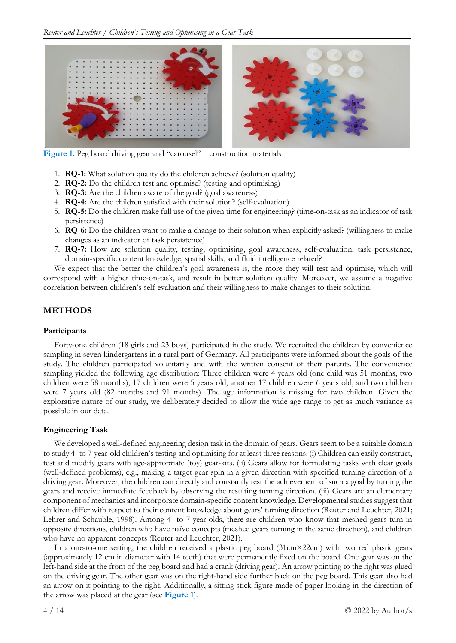

Figure 1. Peg board driving gear and "carousel" | construction materials

- 1. **RQ-1:** What solution quality do the children achieve? (solution quality)
- 2. **RQ-2:** Do the children test and optimise? (testing and optimising)
- 3. **RQ-3:** Are the children aware of the goal? (goal awareness)
- 4. **RQ-4:** Are the children satisfied with their solution? (self-evaluation)
- 5. **RQ-5:** Do the children make full use of the given time for engineering? (time-on-task as an indicator of task persistence)
- 6. **RQ-6:** Do the children want to make a change to their solution when explicitly asked? (willingness to make changes as an indicator of task persistence)
- 7. **RQ-7:** How are solution quality, testing, optimising, goal awareness, self-evaluation, task persistence, domain-specific content knowledge, spatial skills, and fluid intelligence related?

We expect that the better the children's goal awareness is, the more they will test and optimise, which will correspond with a higher time-on-task, and result in better solution quality. Moreover, we assume a negative correlation between children's self-evaluation and their willingness to make changes to their solution.

# **METHODS**

### **Participants**

Forty-one children (18 girls and 23 boys) participated in the study. We recruited the children by convenience sampling in seven kindergartens in a rural part of Germany. All participants were informed about the goals of the study. The children participated voluntarily and with the written consent of their parents. The convenience sampling yielded the following age distribution: Three children were 4 years old (one child was 51 months, two children were 58 months), 17 children were 5 years old, another 17 children were 6 years old, and two children were 7 years old (82 months and 91 months). The age information is missing for two children. Given the explorative nature of our study, we deliberately decided to allow the wide age range to get as much variance as possible in our data.

# **Engineering Task**

We developed a well-defined engineering design task in the domain of gears. Gears seem to be a suitable domain to study 4- to 7-year-old children's testing and optimising for at least three reasons: (i) Children can easily construct, test and modify gears with age-appropriate (toy) gear-kits. (ii) Gears allow for formulating tasks with clear goals (well-defined problems), e.g., making a target gear spin in a given direction with specified turning direction of a driving gear. Moreover, the children can directly and constantly test the achievement of such a goal by turning the gears and receive immediate feedback by observing the resulting turning direction. (iii) Gears are an elementary component of mechanics and incorporate domain-specific content knowledge. Developmental studies suggest that children differ with respect to their content knowledge about gears' turning direction (Reuter and Leuchter, 2021; Lehrer and Schauble, 1998). Among 4- to 7-year-olds, there are children who know that meshed gears turn in opposite directions, children who have naïve concepts (meshed gears turning in the same direction), and children who have no apparent concepts (Reuter and Leuchter, 2021).

In a one-to-one setting, the children received a plastic peg board (31cm×22cm) with two red plastic gears (approximately 12 cm in diameter with 14 teeth) that were permanently fixed on the board. One gear was on the left-hand side at the front of the peg board and had a crank (driving gear). An arrow pointing to the right was glued on the driving gear. The other gear was on the right-hand side further back on the peg board. This gear also had an arrow on it pointing to the right. Additionally, a sitting stick figure made of paper looking in the direction of the arrow was placed at the gear (see **Figure 1**).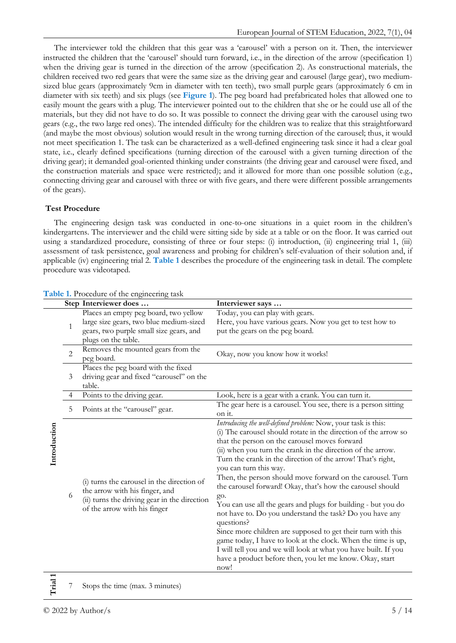The interviewer told the children that this gear was a 'carousel' with a person on it. Then, the interviewer instructed the children that the 'carousel' should turn forward, i.e., in the direction of the arrow (specification 1) when the driving gear is turned in the direction of the arrow (specification 2). As constructional materials, the children received two red gears that were the same size as the driving gear and carousel (large gear), two mediumsized blue gears (approximately 9cm in diameter with ten teeth), two small purple gears (approximately 6 cm in diameter with six teeth) and six plugs (see **Figure 1**). The peg board had prefabricated holes that allowed one to easily mount the gears with a plug. The interviewer pointed out to the children that she or he could use all of the materials, but they did not have to do so. It was possible to connect the driving gear with the carousel using two gears (e.g., the two large red ones). The intended difficulty for the children was to realize that this straightforward (and maybe the most obvious) solution would result in the wrong turning direction of the carousel; thus, it would not meet specification 1. The task can be characterized as a well-defined engineering task since it had a clear goal state, i.e., clearly defined specifications (turning direction of the carousel with a given turning direction of the driving gear); it demanded goal-oriented thinking under constraints (the driving gear and carousel were fixed, and the construction materials and space were restricted); and it allowed for more than one possible solution (e.g., connecting driving gear and carousel with three or with five gears, and there were different possible arrangements of the gears).

### **Test Procedure**

The engineering design task was conducted in one-to-one situations in a quiet room in the children's kindergartens. The interviewer and the child were sitting side by side at a table or on the floor. It was carried out using a standardized procedure, consisting of three or four steps: (i) introduction, (ii) engineering trial 1, (iii) assessment of task persistence, goal awareness and probing for children's self-evaluation of their solution and, if applicable (iv) engineering trial 2. **Table 1** describes the procedure of the engineering task in detail. The complete procedure was videotaped.

|              |                | Step Interviewer does                                                                                                                                        | Interviewer says                                                                                                                                                                                                                                                                                                                                                                                                                                                                                                                                                                                                                            |  |  |  |  |  |
|--------------|----------------|--------------------------------------------------------------------------------------------------------------------------------------------------------------|---------------------------------------------------------------------------------------------------------------------------------------------------------------------------------------------------------------------------------------------------------------------------------------------------------------------------------------------------------------------------------------------------------------------------------------------------------------------------------------------------------------------------------------------------------------------------------------------------------------------------------------------|--|--|--|--|--|
|              | $\mathbf{1}$   | Places an empty peg board, two yellow<br>large size gears, two blue medium-sized<br>gears, two purple small size gears, and<br>plugs on the table.           | Today, you can play with gears.<br>Here, you have various gears. Now you get to test how to<br>put the gears on the peg board.                                                                                                                                                                                                                                                                                                                                                                                                                                                                                                              |  |  |  |  |  |
|              | $\overline{2}$ | Removes the mounted gears from the<br>peg board.                                                                                                             | Okay, now you know how it works!                                                                                                                                                                                                                                                                                                                                                                                                                                                                                                                                                                                                            |  |  |  |  |  |
|              | 3              | Places the peg board with the fixed<br>driving gear and fixed "carousel" on the<br>table.                                                                    |                                                                                                                                                                                                                                                                                                                                                                                                                                                                                                                                                                                                                                             |  |  |  |  |  |
|              | 4              | Points to the driving gear.                                                                                                                                  | Look, here is a gear with a crank. You can turn it.<br>The gear here is a carousel. You see, there is a person sitting<br>on it.<br>Introducing the well-defined problem: Now, your task is this:<br>(i) The carousel should rotate in the direction of the arrow so<br>that the person on the carousel moves forward<br>(ii) when you turn the crank in the direction of the arrow.                                                                                                                                                                                                                                                        |  |  |  |  |  |
| Introduction | 5              | Points at the "carousel" gear.                                                                                                                               |                                                                                                                                                                                                                                                                                                                                                                                                                                                                                                                                                                                                                                             |  |  |  |  |  |
|              | 6              | (i) turns the carousel in the direction of<br>the arrow with his finger, and<br>(ii) turns the driving gear in the direction<br>of the arrow with his finger | Turn the crank in the direction of the arrow! That's right,<br>you can turn this way.<br>Then, the person should move forward on the carousel. Turn<br>the carousel forward! Okay, that's how the carousel should<br>go.<br>You can use all the gears and plugs for building - but you do<br>not have to. Do you understand the task? Do you have any<br>questions?<br>Since more children are supposed to get their turn with this<br>game today, I have to look at the clock. When the time is up,<br>I will tell you and we will look at what you have built. If you<br>have a product before then, you let me know. Okay, start<br>now! |  |  |  |  |  |
|              |                |                                                                                                                                                              |                                                                                                                                                                                                                                                                                                                                                                                                                                                                                                                                                                                                                                             |  |  |  |  |  |

#### **Table 1.** Procedure of the engineering task

**Trial 1** Stops the time (max. 3 minutes)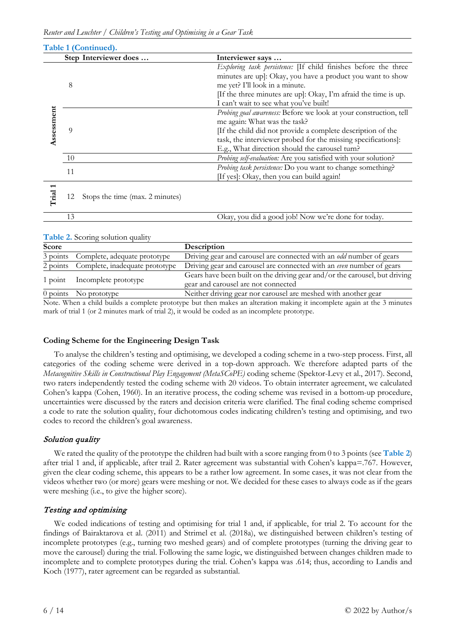|            | Step Interviewer does                 | Interviewer says                                                                                                                                                                                                                                                                   |  |  |  |  |  |
|------------|---------------------------------------|------------------------------------------------------------------------------------------------------------------------------------------------------------------------------------------------------------------------------------------------------------------------------------|--|--|--|--|--|
|            | 8                                     | Exploring task persistence: [If child finishes before the three<br>minutes are up]: Okay, you have a product you want to show<br>me yet? I'll look in a minute.<br>[If the three minutes are up]: Okay, I'm afraid the time is up.<br>I can't wait to see what you've built!       |  |  |  |  |  |
| Assessment | 9                                     | Probing goal awareness: Before we look at your construction, tell<br>me again: What was the task?<br>If the child did not provide a complete description of the<br>task, the interviewer probed for the missing specifications]:<br>E.g., What direction should the carousel turn? |  |  |  |  |  |
|            | 10                                    | Probing self-evaluation: Are you satisfied with your solution?                                                                                                                                                                                                                     |  |  |  |  |  |
|            | 11                                    | Probing task persistence: Do you want to change something?<br>[If yes]: Okay, then you can build again!                                                                                                                                                                            |  |  |  |  |  |
| Trial      | Stops the time (max. 2 minutes)<br>12 |                                                                                                                                                                                                                                                                                    |  |  |  |  |  |

| d a good iob! Now we're done :<br>)kav.<br>.: todav<br>tor<br>VOU <sub>1</sub><br>-did |
|----------------------------------------------------------------------------------------|

| <b>Score</b> |                                         | <b>Description</b>                                                                                                |
|--------------|-----------------------------------------|-------------------------------------------------------------------------------------------------------------------|
| 3 points     | Complete, adequate prototype            | Driving gear and carousel are connected with an <i>odd</i> number of gears                                        |
|              | 2 points Complete, inadequate prototype | Driving gear and carousel are connected with an even number of gears                                              |
| $1$ point    | Incomplete prototype                    | Gears have been built on the driving gear and/or the carousel, but driving<br>gear and carousel are not connected |
|              | 0 points No prototype                   | Neither driving gear nor carousel are meshed with another gear                                                    |

Note. When a child builds a complete prototype but then makes an alteration making it incomplete again at the 3 minutes mark of trial 1 (or 2 minutes mark of trial 2), it would be coded as an incomplete prototype.

# **Coding Scheme for the Engineering Design Task**

To analyse the children's testing and optimising, we developed a coding scheme in a two-step process. First, all categories of the coding scheme were derived in a top-down approach. We therefore adapted parts of the *Metacognitive Skills in Constructional Play Engagement (MetaSCoPE)* coding scheme (Spektor-Levy et al., 2017). Second, two raters independently tested the coding scheme with 20 videos. To obtain interrater agreement, we calculated Cohen's kappa (Cohen, 1960). In an iterative process, the coding scheme was revised in a bottom-up procedure, uncertainties were discussed by the raters and decision criteria were clarified. The final coding scheme comprised a code to rate the solution quality, four dichotomous codes indicating children's testing and optimising, and two codes to record the children's goal awareness.

# Solution quality

We rated the quality of the prototype the children had built with a score ranging from 0 to 3 points (see **Table 2**) after trial 1 and, if applicable, after trail 2. Rater agreement was substantial with Cohen's kappa=.767. However, given the clear coding scheme, this appears to be a rather low agreement. In some cases, it was not clear from the videos whether two (or more) gears were meshing or not. We decided for these cases to always code as if the gears were meshing (i.e., to give the higher score).

# Testing and optimising

We coded indications of testing and optimising for trial 1 and, if applicable, for trial 2. To account for the findings of Bairaktarova et al. (2011) and Strimel et al. (2018a), we distinguished between children's testing of incomplete prototypes (e.g., turning two meshed gears) and of complete prototypes (turning the driving gear to move the carousel) during the trial. Following the same logic, we distinguished between changes children made to incomplete and to complete prototypes during the trial. Cohen's kappa was .614; thus, according to Landis and Koch (1977), rater agreement can be regarded as substantial.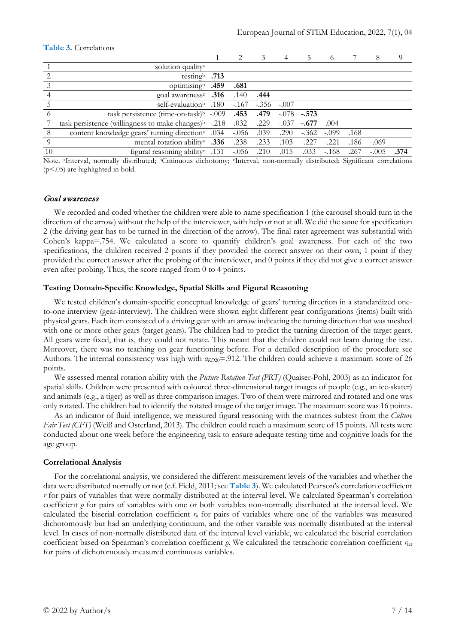|          | $\sim$ 0.0 $\sim$ 0.0 $\sim$ 0.0 $\sim$ 0.0 $\sim$ 0.0 $\sim$     |      |         |              |         |         |          |      |         |      |  |
|----------|-------------------------------------------------------------------|------|---------|--------------|---------|---------|----------|------|---------|------|--|
|          |                                                                   |      |         | 3            |         | 5       | $\Omega$ |      | 8       |      |  |
|          | solution quality <sup>a</sup>                                     |      |         |              |         |         |          |      |         |      |  |
|          | testing $.713$                                                    |      |         |              |         |         |          |      |         |      |  |
|          | optimisingb                                                       | .459 | .681    |              |         |         |          |      |         |      |  |
|          | <b>316</b> goal awareness <sup>c</sup>                            |      | .140    | .444         |         |         |          |      |         |      |  |
|          | self-evaluation <sup>b</sup>                                      | .180 | $-.167$ | $-.356-.007$ |         |         |          |      |         |      |  |
| $\Omega$ | task persistence (time-on-task) $\frac{b}{2}$ -.009               |      | .453    | .479         | $-.078$ | $-.573$ |          |      |         |      |  |
|          | task persistence (willingness to make changes) <sup>b</sup> -.218 |      | .032    | .229         | $-.037$ | $-.677$ | .004     |      |         |      |  |
| 8        | content knowledge gears' turning direction <sup>a</sup> .034      |      | $-.056$ | .039         | .290    | $-.362$ | $-.099$  | .168 |         |      |  |
| 9        | mental rotation ability <sup>a</sup>                              | .336 | .238    | .233         | .103    | $-.227$ | $-.221$  | .186 | $-.069$ |      |  |
| 10       | figural reasoning ability <sup>c</sup>                            | .131 | $-.056$ | .210         | .015    | .033    | $-.168$  | .267 | $-.005$ | .374 |  |
|          |                                                                   |      |         |              |         |         |          |      |         |      |  |

#### **Table 3.** Correlations

Note. <sup>a</sup>Interval, normally distributed; <sup>b</sup>Cntinuous dichotomy; <sup>c</sup>Interval, non-normally distributed; Significant correlations (p<.05) are highlighted in bold.

### Goal awareness

We recorded and coded whether the children were able to name specification 1 (the carousel should turn in the direction of the arrow) without the help of the interviewer, with help or not at all. We did the same for specification 2 (the driving gear has to be turned in the direction of the arrow). The final rater agreement was substantial with Cohen's kappa=.754. We calculated a score to quantify children's goal awareness. For each of the two specifications, the children received 2 points if they provided the correct answer on their own, 1 point if they provided the correct answer after the probing of the interviewer, and 0 points if they did not give a correct answer even after probing. Thus, the score ranged from 0 to 4 points.

#### **Testing Domain-Specific Knowledge, Spatial Skills and Figural Reasoning**

We tested children's domain-specific conceptual knowledge of gears' turning direction in a standardized oneto-one interview (gear-interview). The children were shown eight different gear configurations (items) built with physical gears. Each item consisted of a driving gear with an arrow indicating the turning direction that was meshed with one or more other gears (target gears). The children had to predict the turning direction of the target gears. All gears were fixed, that is, they could not rotate. This meant that the children could not learn during the test. Moreover, there was no teaching on gear functioning before. For a detailed description of the procedure see Authors. The internal consistency was high with *αKD*20=.912. The children could achieve a maximum score of 26 points.

We assessed mental rotation ability with the *Picture Rotation Test (PRT)* (Quaiser-Pohl, 2003) as an indicator for spatial skills. Children were presented with coloured three-dimensional target images of people (e.g., an ice-skater) and animals (e.g., a tiger) as well as three comparison images. Two of them were mirrored and rotated and one was only rotated. The children had to identify the rotated image of the target image. The maximum score was 16 points.

As an indicator of fluid intelligence, we measured figural reasoning with the matrices subtest from the *Culture Fair Test (CFT)* (Weiß and Osterland, 2013). The children could reach a maximum score of 15 points. All tests were conducted about one week before the engineering task to ensure adequate testing time and cognitive loads for the age group.

#### **Correlational Analysis**

For the correlational analysis, we considered the different measurement levels of the variables and whether the data were distributed normally or not (c.f. Field, 2011; see **Table 3**). We calculated Pearson's correlation coefficient *r* for pairs of variables that were normally distributed at the interval level. We calculated Spearman's correlation coefficient *ρ* for pairs of variables with one or both variables non-normally distributed at the interval level. We calculated the biserial correlation coefficient  $r<sub>b</sub>$  for pairs of variables where one of the variables was measured dichotomously but had an underlying continuum, and the other variable was normally distributed at the interval level. In cases of non-normally distributed data of the interval level variable, we calculated the biserial correlation coefficient based on Spearman's correlation coefficient *ρ*. We calculated the tetrachoric correlation coefficient *r*tet for pairs of dichotomously measured continuous variables.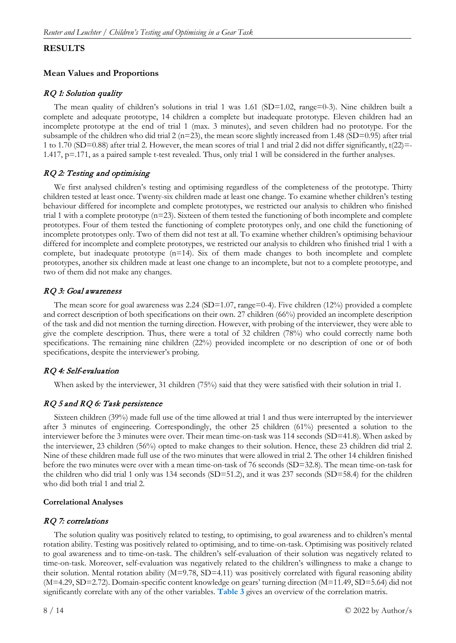### **RESULTS**

### **Mean Values and Proportions**

### RQ 1: Solution quality

The mean quality of children's solutions in trial 1 was  $1.61$  (SD=1.02, range=0-3). Nine children built a complete and adequate prototype, 14 children a complete but inadequate prototype. Eleven children had an incomplete prototype at the end of trial 1 (max. 3 minutes), and seven children had no prototype. For the subsample of the children who did trial 2 (n=23), the mean score slightly increased from 1.48 (SD=0.95) after trial 1 to 1.70 (SD=0.88) after trial 2. However, the mean scores of trial 1 and trial 2 did not differ significantly,  $t(22)=$ 1.417, p=.171, as a paired sample t-test revealed. Thus, only trial 1 will be considered in the further analyses.

### RQ 2: Testing and optimising

We first analysed children's testing and optimising regardless of the completeness of the prototype. Thirty children tested at least once. Twenty-six children made at least one change. To examine whether children's testing behaviour differed for incomplete and complete prototypes, we restricted our analysis to children who finished trial 1 with a complete prototype  $(n=23)$ . Sixteen of them tested the functioning of both incomplete and complete prototypes. Four of them tested the functioning of complete prototypes only, and one child the functioning of incomplete prototypes only. Two of them did not test at all. To examine whether children's optimising behaviour differed for incomplete and complete prototypes, we restricted our analysis to children who finished trial 1 with a complete, but inadequate prototype (n=14). Six of them made changes to both incomplete and complete prototypes, another six children made at least one change to an incomplete, but not to a complete prototype, and two of them did not make any changes.

### RQ 3: Goal awareness

The mean score for goal awareness was 2.24 (SD=1.07, range=0-4). Five children (12%) provided a complete and correct description of both specifications on their own. 27 children (66%) provided an incomplete description of the task and did not mention the turning direction. However, with probing of the interviewer, they were able to give the complete description. Thus, there were a total of 32 children (78%) who could correctly name both specifications. The remaining nine children (22%) provided incomplete or no description of one or of both specifications, despite the interviewer's probing.

### RQ 4: Self-evaluation

When asked by the interviewer, 31 children (75%) said that they were satisfied with their solution in trial 1.

# RQ 5 and RQ 6: Task persistence

Sixteen children (39%) made full use of the time allowed at trial 1 and thus were interrupted by the interviewer after 3 minutes of engineering. Correspondingly, the other 25 children (61%) presented a solution to the interviewer before the 3 minutes were over. Their mean time-on-task was 114 seconds (SD=41.8). When asked by the interviewer, 23 children (56%) opted to make changes to their solution. Hence, these 23 children did trial 2. Nine of these children made full use of the two minutes that were allowed in trial 2. The other 14 children finished before the two minutes were over with a mean time-on-task of 76 seconds (SD=32.8). The mean time-on-task for the children who did trial 1 only was 134 seconds (SD=51.2), and it was 237 seconds (SD=58.4) for the children who did both trial 1 and trial 2.

#### **Correlational Analyses**

### RQ 7: correlations

The solution quality was positively related to testing, to optimising, to goal awareness and to children's mental rotation ability. Testing was positively related to optimising, and to time-on-task. Optimising was positively related to goal awareness and to time-on-task. The children's self-evaluation of their solution was negatively related to time-on-task. Moreover, self-evaluation was negatively related to the children's willingness to make a change to their solution. Mental rotation ability  $(M=9.78, SD=4.11)$  was positively correlated with figural reasoning ability (M=4.29, SD=2.72). Domain-specific content knowledge on gears' turning direction (M=11.49, SD=5.64) did not significantly correlate with any of the other variables. **Table 3** gives an overview of the correlation matrix.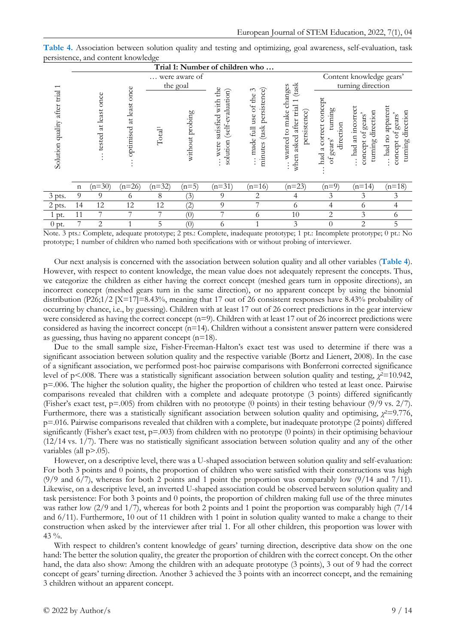|                                    |             |                         |                               |                    |                           |                                                                                  | Trial 1: Number of children who                                                               |                                                                                                                           |                                                                  |                                                                             |                                                              |
|------------------------------------|-------------|-------------------------|-------------------------------|--------------------|---------------------------|----------------------------------------------------------------------------------|-----------------------------------------------------------------------------------------------|---------------------------------------------------------------------------------------------------------------------------|------------------------------------------------------------------|-----------------------------------------------------------------------------|--------------------------------------------------------------|
|                                    |             |                         |                               |                    | were aware of<br>the goal |                                                                                  |                                                                                               |                                                                                                                           | Content knowledge gears'<br>turning direction                    |                                                                             |                                                              |
| after trial<br>quality<br>Solution |             | at least once<br>tested | once<br>at least<br>optimised | Total <sup>1</sup> | without probing           | the<br>(self-evaluation)<br>satisfied with<br>solution<br>were<br>$\ddot{\cdot}$ | persistence)<br>$\tilde{\zeta}$<br>made full use of the<br>(task<br>minutes<br>$\bullet$<br>: | (task<br>changes<br>$\overline{\phantom{0}}$<br>after trial<br>persistence)<br>make<br>$\circ$<br>asked<br>wanted<br>when | a correct concept<br>turning<br>direction<br>gears'<br>had<br>ЪÓ | had an incorrec<br>direction<br>of gears'<br>turning<br>concept<br>$\vdots$ | had no apparent<br>direction<br>concept of gears'<br>turning |
|                                    | $\mathbf n$ | $(n=30)$                | $(n=26)$                      | $(n=32)$           | $(n=5)$                   | $(n=31)$                                                                         | $(n=16)$                                                                                      | $(n=23)$                                                                                                                  | $(n=9)$                                                          | $(n=14)$                                                                    | $(n=18)$                                                     |
| 3 pts.                             | 9           | 9                       | 6                             | 8                  | (3)                       | 9                                                                                | 2                                                                                             | 4                                                                                                                         | 3                                                                | 3                                                                           | 3                                                            |
| 2 pts.                             | 14          | 12                      | 12                            | 12                 | (2)                       | 9                                                                                | ⇁                                                                                             | 6                                                                                                                         | 4                                                                | 6                                                                           | 4                                                            |
| 1 pt.                              | 11          | 7                       |                               |                    | $\left( 0\right)$         |                                                                                  | $\Omega$                                                                                      | 10                                                                                                                        | 2                                                                | 3                                                                           | 6                                                            |
| $0$ pt.                            | 7           | $\overline{c}$          |                               | 5                  | (0)                       | $^{\circ}$                                                                       |                                                                                               | 3                                                                                                                         | $\Omega$                                                         | $\overline{c}$                                                              | 5                                                            |

| Table 4. Association between solution quality and testing and optimizing, goal awareness, self-evaluation, task |  |  |  |  |
|-----------------------------------------------------------------------------------------------------------------|--|--|--|--|
| persistence, and content knowledge                                                                              |  |  |  |  |

Note. 3 pts.: Complete, adequate prototype; 2 pts.: Complete, inadequate prototype; 1 pt.: Incomplete prototype; 0 pt.: No prototype; 1 number of children who named both specifications with or without probing of interviewer.

Our next analysis is concerned with the association between solution quality and all other variables (**Table 4**). However, with respect to content knowledge, the mean value does not adequately represent the concepts. Thus, we categorize the children as either having the correct concept (meshed gears turn in opposite directions), an incorrect concept (meshed gears turn in the same direction), or no apparent concept by using the binomial distribution (P26;1/2 [X=17]=8.43%, meaning that 17 out of 26 consistent responses have 8.43% probability of occurring by chance, i.e., by guessing). Children with at least 17 out of 26 correct predictions in the gear interview were considered as having the correct concept (n=9). Children with at least 17 out of 26 incorrect predictions were considered as having the incorrect concept (n=14). Children without a consistent answer pattern were considered as guessing, thus having no apparent concept (n=18).

Due to the small sample size, Fisher-Freeman-Halton's exact test was used to determine if there was a significant association between solution quality and the respective variable (Bortz and Lienert, 2008). In the case of a significant association, we performed post-hoc pairwise comparisons with Bonferroni corrected significance level of p<.008. There was a statistically significant association between solution quality and testing,  $\chi^2$ =10.942, p=.006. The higher the solution quality, the higher the proportion of children who tested at least once. Pairwise comparisons revealed that children with a complete and adequate prototype (3 points) differed significantly (Fisher's exact test, p=.005) from children with no prototype (0 points) in their testing behaviour (9/9 vs. 2/7). Furthermore, there was a statistically significant association between solution quality and optimising,  $\chi^2$ =9.776, p=.016. Pairwise comparisons revealed that children with a complete, but inadequate prototype (2 points) differed significantly (Fisher's exact test, p=.003) from children with no prototype (0 points) in their optimising behaviour  $(12/14 \text{ vs. } 1/7)$ . There was no statistically significant association between solution quality and any of the other variables (all  $p > .05$ ).

However, on a descriptive level, there was a U-shaped association between solution quality and self-evaluation: For both 3 points and 0 points, the proportion of children who were satisfied with their constructions was high  $(9/9 \text{ and } 6/7)$ , whereas for both 2 points and 1 point the proportion was comparably low  $(9/14 \text{ and } 7/11)$ . Likewise, on a descriptive level, an inverted U-shaped association could be observed between solution quality and task persistence: For both 3 points and 0 points, the proportion of children making full use of the three minutes was rather low (2/9 and 1/7), whereas for both 2 points and 1 point the proportion was comparably high (7/14) and 6/11). Furthermore, 10 out of 11 children with 1 point in solution quality wanted to make a change to their construction when asked by the interviewer after trial 1. For all other children, this proportion was lower with 43 %.

With respect to children's content knowledge of gears' turning direction, descriptive data show on the one hand: The better the solution quality, the greater the proportion of children with the correct concept. On the other hand, the data also show: Among the children with an adequate prototype (3 points), 3 out of 9 had the correct concept of gears' turning direction. Another 3 achieved the 3 points with an incorrect concept, and the remaining 3 children without an apparent concept.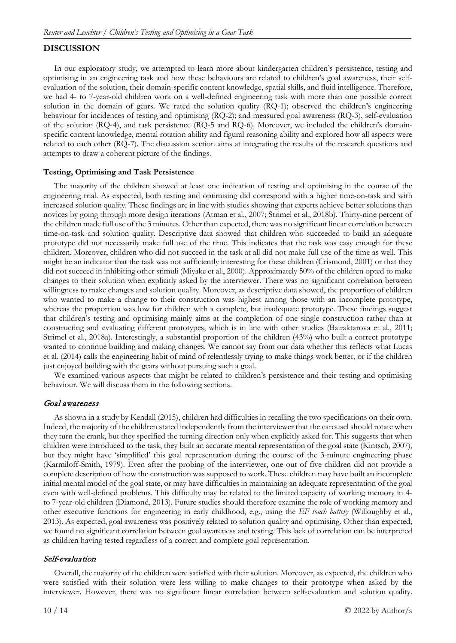# **DISCUSSION**

In our exploratory study, we attempted to learn more about kindergarten children's persistence, testing and optimising in an engineering task and how these behaviours are related to children's goal awareness, their selfevaluation of the solution, their domain-specific content knowledge, spatial skills, and fluid intelligence. Therefore, we had 4- to 7-year-old children work on a well-defined engineering task with more than one possible correct solution in the domain of gears. We rated the solution quality (RQ-1); observed the children's engineering behaviour for incidences of testing and optimising (RQ-2); and measured goal awareness (RQ-3), self-evaluation of the solution (RQ-4), and task persistence (RQ-5 and RQ-6). Moreover, we included the children's domainspecific content knowledge, mental rotation ability and figural reasoning ability and explored how all aspects were related to each other (RQ-7). The discussion section aims at integrating the results of the research questions and attempts to draw a coherent picture of the findings.

#### **Testing, Optimising and Task Persistence**

The majority of the children showed at least one indication of testing and optimising in the course of the engineering trial. As expected, both testing and optimising did correspond with a higher time-on-task and with increased solution quality. These findings are in line with studies showing that experts achieve better solutions than novices by going through more design iterations (Atman et al., 2007; Strimel et al., 2018b). Thirty-nine percent of the children made full use of the 3 minutes. Other than expected, there was no significant linear correlation between time-on-task and solution quality. Descriptive data showed that children who succeeded to build an adequate prototype did not necessarily make full use of the time. This indicates that the task was easy enough for these children. Moreover, children who did not succeed in the task at all did not make full use of the time as well. This might be an indicator that the task was not sufficiently interesting for these children (Crismond, 2001) or that they did not succeed in inhibiting other stimuli (Miyake et al., 2000). Approximately 50% of the children opted to make changes to their solution when explicitly asked by the interviewer. There was no significant correlation between willingness to make changes and solution quality. Moreover, as descriptive data showed, the proportion of children who wanted to make a change to their construction was highest among those with an incomplete prototype, whereas the proportion was low for children with a complete, but inadequate prototype. These findings suggest that children's testing and optimising mainly aims at the completion of one single construction rather than at constructing and evaluating different prototypes, which is in line with other studies (Bairaktarova et al., 2011; Strimel et al., 2018a). Interestingly, a substantial proportion of the children (43%) who built a correct prototype wanted to continue building and making changes. We cannot say from our data whether this reflects what Lucas et al. (2014) calls the engineering habit of mind of relentlessly trying to make things work better, or if the children just enjoyed building with the gears without pursuing such a goal.

We examined various aspects that might be related to children's persistence and their testing and optimising behaviour. We will discuss them in the following sections.

#### Goal awareness

As shown in a study by Kendall (2015), children had difficulties in recalling the two specifications on their own. Indeed, the majority of the children stated independently from the interviewer that the carousel should rotate when they turn the crank, but they specified the turning direction only when explicitly asked for. This suggests that when children were introduced to the task, they built an accurate mental representation of the goal state (Kintsch, 2007), but they might have 'simplified' this goal representation during the course of the 3-minute engineering phase (Karmiloff-Smith, 1979). Even after the probing of the interviewer, one out of five children did not provide a complete description of how the construction was supposed to work. These children may have built an incomplete initial mental model of the goal state, or may have difficulties in maintaining an adequate representation of the goal even with well-defined problems. This difficulty may be related to the limited capacity of working memory in 4 to 7-year-old children (Diamond, 2013). Future studies should therefore examine the role of working memory and other executive functions for engineering in early childhood, e.g., using the *EF touch battery* (Willoughby et al., 2013). As expected, goal awareness was positively related to solution quality and optimising. Other than expected, we found no significant correlation between goal awareness and testing. This lack of correlation can be interpreted as children having tested regardless of a correct and complete goal representation.

#### Self-evaluation

Overall, the majority of the children were satisfied with their solution. Moreover, as expected, the children who were satisfied with their solution were less willing to make changes to their prototype when asked by the interviewer. However, there was no significant linear correlation between self-evaluation and solution quality.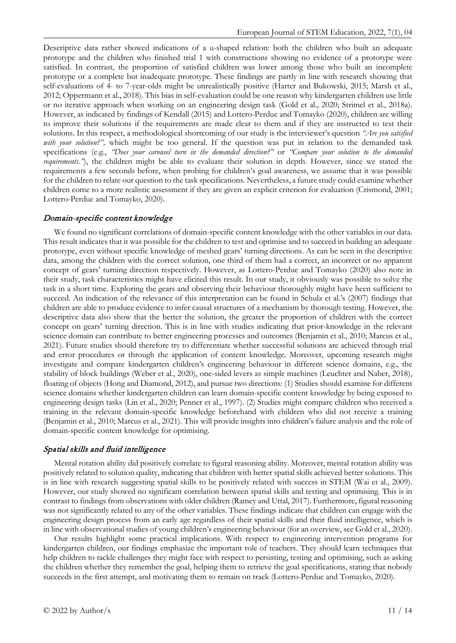Descriptive data rather showed indications of a u-shaped relation: both the children who built an adequate prototype and the children who finished trial 1 with constructions showing no evidence of a prototype were satisfied. In contrast, the proportion of satisfied children was lower among those who built an incomplete prototype or a complete but inadequate prototype. These findings are partly in line with research showing that self-evaluations of 4- to 7-year-olds might be unrealistically positive (Harter and Bukowski, 2015; Marsh et al., 2012; Oppermann et al., 2018). This bias in self-evaluation could be one reason why kindergarten children use little or no iterative approach when working on an engineering design task (Gold et al., 2020; Strimel et al., 2018a). However, as indicated by findings of Kendall (2015) and Lottero-Perdue and Tomayko (2020), children are willing to improve their solutions if the requirements are made clear to them and if they are instructed to test their solutions. In this respect, a methodological shortcoming of our study is the interviewer's question *"Are you satisfied with your solution?"*, which might be too general. If the question was put in relation to the demanded task specifications (e.g., *"Does your carousel turn in the demanded direction?"* or *"Compare your solution to the demanded requirements.*"), the children might be able to evaluate their solution in depth. However, since we stated the requirements a few seconds before, when probing for children's goal awareness, we assume that it was possible for the children to relate our question to the task specifications. Nevertheless, a future study could examine whether children come to a more realistic assessment if they are given an explicit criterion for evaluation (Crismond, 2001; Lottero-Perdue and Tomayko, 2020).

#### Domain-specific content knowledge

We found no significant correlations of domain-specific content knowledge with the other variables in our data. This result indicates that it was possible for the children to test and optimise and to succeed in building an adequate prototype, even without specific knowledge of meshed gears' turning directions. As can be seen in the descriptive data, among the children with the correct solution, one third of them had a correct, an incorrect or no apparent concept of gears' turning direction respectively. However, as Lottero-Perdue and Tomayko (2020) also note in their study, task characteristics might have elicited this result. In our study, it obviously was possible to solve the task in a short time. Exploring the gears and observing their behaviour thoroughly might have been sufficient to succeed. An indication of the relevance of this interpretation can be found in Schulz et al.'s (2007) findings that children are able to produce evidence to infer causal structures of a mechanism by thorough testing. However, the descriptive data also show that the better the solution, the greater the proportion of children with the correct concept on gears' turning direction. This is in line with studies indicating that prior-knowledge in the relevant science domain can contribute to better engineering processes and outcomes (Benjamin et al., 2010; Marcus et al., 2021). Future studies should therefore try to differentiate whether successful solutions are achieved through trial and error procedures or through the application of content knowledge. Moreover, upcoming research might investigate and compare kindergarten children's engineering behaviour in different science domains, e.g., the stability of block buildings (Weber et al., 2020), one-sided levers as simple machines (Leuchter and Naber, 2018), floating of objects (Hong and Diamond, 2012), and pursue two directions: (1) Studies should examine for different science domains whether kindergarten children can learn domain-specific content knowledge by being exposed to engineering design tasks (Lin et al., 2020; Penner et al., 1997). (2) Studies might compare children who received a training in the relevant domain-specific knowledge beforehand with children who did not receive a training (Benjamin et al., 2010; Marcus et al., 2021). This will provide insights into children's failure analysis and the role of domain-specific content knowledge for optimising.

### Spatial skills and fluid intelligence

Mental rotation ability did positively correlate to figural reasoning ability. Moreover, mental rotation ability was positively related to solution quality, indicating that children with better spatial skills achieved better solutions. This is in line with research suggesting spatial skills to be positively related with success in STEM (Wai et al., 2009). However, our study showed no significant correlation between spatial skills and testing and optimising. This is in contrast to findings from observations with older children (Ramey and Uttal, 2017). Furthermore, figural reasoning was not significantly related to any of the other variables. These findings indicate that children can engage with the engineering design process from an early age regardless of their spatial skills and their fluid intelligence, which is in line with observational studies of young children's engineering behaviour (for an overview, see Gold et al., 2020).

Our results highlight some practical implications. With respect to engineering intervention programs for kindergarten children, our findings emphasize the important role of teachers. They should learn techniques that help children to tackle challenges they might face with respect to persisting, testing and optimising, such as asking the children whether they remember the goal, helping them to retrieve the goal specifications, stating that nobody succeeds in the first attempt, and motivating them to remain on track (Lottero-Perdue and Tomayko, 2020).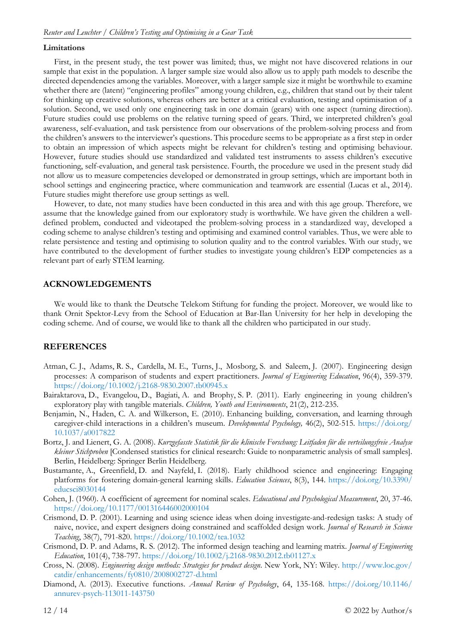#### **Limitations**

First, in the present study, the test power was limited; thus, we might not have discovered relations in our sample that exist in the population. A larger sample size would also allow us to apply path models to describe the directed dependencies among the variables. Moreover, with a larger sample size it might be worthwhile to examine whether there are (latent) "engineering profiles" among young children, e.g., children that stand out by their talent for thinking up creative solutions, whereas others are better at a critical evaluation, testing and optimisation of a solution. Second, we used only one engineering task in one domain (gears) with one aspect (turning direction). Future studies could use problems on the relative turning speed of gears. Third, we interpreted children's goal awareness, self-evaluation, and task persistence from our observations of the problem-solving process and from the children's answers to the interviewer's questions. This procedure seems to be appropriate as a first step in order to obtain an impression of which aspects might be relevant for children's testing and optimising behaviour. However, future studies should use standardized and validated test instruments to assess children's executive functioning, self-evaluation, and general task persistence. Fourth, the procedure we used in the present study did not allow us to measure competencies developed or demonstrated in group settings, which are important both in school settings and engineering practice, where communication and teamwork are essential (Lucas et al., 2014). Future studies might therefore use group settings as well.

However, to date, not many studies have been conducted in this area and with this age group. Therefore, we assume that the knowledge gained from our exploratory study is worthwhile. We have given the children a welldefined problem, conducted and videotaped the problem-solving process in a standardized way, developed a coding scheme to analyse children's testing and optimising and examined control variables. Thus, we were able to relate persistence and testing and optimising to solution quality and to the control variables. With our study, we have contributed to the development of further studies to investigate young children's EDP competencies as a relevant part of early STEM learning.

### **ACKNOWLEDGEMENTS**

We would like to thank the Deutsche Telekom Stiftung for funding the project. Moreover, we would like to thank Ornit Spektor-Levy from the School of Education at Bar-Ilan University for her help in developing the coding scheme. And of course, we would like to thank all the children who participated in our study.

#### **REFERENCES**

- Atman, C. J., Adams, R. S., Cardella, M. E., Turns, J., Mosborg, S. and Saleem, J. (2007). Engineering design processes: A comparison of students and expert practitioners. *Journal of Engineering Education*, 96(4), 359-379. <https://doi.org/10.1002/j.2168-9830.2007.tb00945.x>
- Bairaktarova, D., Evangelou, D., Bagiati, A. and Brophy, S. P. (2011). Early engineering in young children's exploratory play with tangible materials. *Children, Youth and Environments*, 21(2), 212-235.
- Benjamin, N., Haden, C. A. and Wilkerson, E. (2010). Enhancing building, conversation, and learning through caregiver-child interactions in a children's museum. *Developmental Psychology,* 46(2), 502-515. [https://doi.org/](https://doi.org/10.1037/a0017822) [10.1037/a0017822](https://doi.org/10.1037/a0017822)
- Bortz, J. and Lienert, G. A. (2008). *Kurzgefasste Statistik für die klinische Forschung: Leitfaden für die verteilungsfreie Analyse kleiner Stichproben* [Condensed statistics for clinical research: Guide to nonparametric analysis of small samples]. Berlin, Heidelberg: Springer Berlin Heidelberg.
- Bustamante, A., Greenfield, D. and Nayfeld, I. (2018). Early childhood science and engineering: Engaging platforms for fostering domain-general learning skills. *Education Sciences*, 8(3), 144. [https://doi.org/10.3390/](https://doi.org/10.3390/educsci8030144) [educsci8030144](https://doi.org/10.3390/educsci8030144)
- Cohen, J. (1960). A coefficient of agreement for nominal scales. *Educational and Psychological Measurement*, 20, 37-46. <https://doi.org/10.1177/001316446002000104>
- Crismond, D. P. (2001). Learning and using science ideas when doing investigate-and-redesign tasks: A study of naive, novice, and expert designers doing constrained and scaffolded design work. *Journal of Research in Science Teaching*, 38(7), 791-820.<https://doi.org/10.1002/tea.1032>
- Crismond, D. P. and Adams, R. S. (2012). The informed design teaching and learning matrix. *Journal of Engineering Education*, 101(4), 738-797.<https://doi.org/10.1002/j.2168-9830.2012.tb01127.x>
- Cross, N. (2008). *Engineering design methods: Strategies for product design*. New York, NY: Wiley. [http://www.loc.gov/](http://www.loc.gov/catdir/enhancements/fy0810/2008002727-d.html) [catdir/enhancements/fy0810/2008002727-d.html](http://www.loc.gov/catdir/enhancements/fy0810/2008002727-d.html)
- Diamond, A. (2013). Executive functions. *Annual Review of Psychology*, 64, 135-168. [https://doi.org/10.1146/](https://doi.org/10.1146/annurev-psych-113011-143750) [annurev-psych-113011-143750](https://doi.org/10.1146/annurev-psych-113011-143750)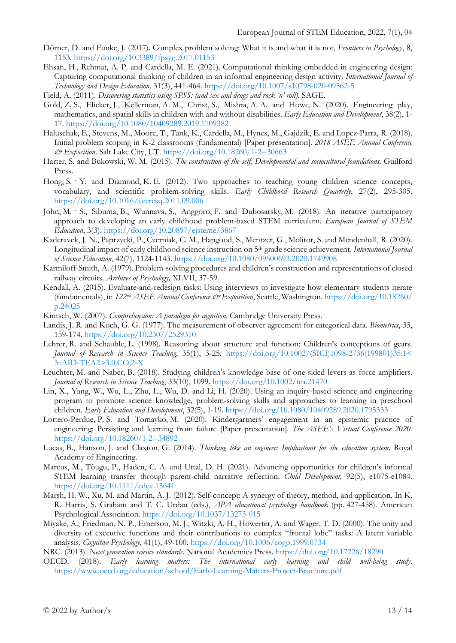- Dörner, D. and Funke, J. (2017). Complex problem solving: What it is and what it is not. *Frontiers in Psychology*, 8, 1153.<https://doi.org/10.3389/fpsyg.2017.01153>
- Ehsan, H., Rehmat, A. P. and Cardella, M. E. (2021). Computational thinking embedded in engineering design: Capturing computational thinking of children in an informal engineering design activity. *International Journal of Technology and Design Education,* 31(3), 441-464.<https://doi.org/10.1007/s10798-020-09562-5>
- Field, A. (2011). *Discovering statistics using SPSS: (and sex and drugs and rock 'n' roll)*. SAGE.
- Gold, Z. S., Elicker, J., Kellerman, A. M., Christ, S., Mishra, A. A. and Howe, N. (2020). Engineering play, mathematics, and spatial skills in children with and without disabilities. *Early Education and Development*, 38(2), 1- 17.<https://doi.org/10.1080/10409289.2019.1709382>
- Haluschak, E., Stevens, M., Moore, T., Tank, K., Cardella, M., Hynes, M., Gajdzik, E. and Lopez-Parra, R. (2018). Initial problem scoping in K-2 classrooms (fundamental) [Paper presentation]. *2018 ASEE Annual Conference & Exposition*. Salt Lake City, UT.<https://doi.org/10.18260/1-2--30663>
- Harter, S. and Bukowski, W. M. (2015). *The construction of the self: Developmental and sociocultural foundations*. Guilford Press.
- Hong, S. <sup>–</sup> Y. and Diamond, K. E. (2012). Two approaches to teaching young children science concepts, vocabulary, and scientific problem-solving skills. *Early Childhood Research Quarterly*, 27(2), 295-305. <https://doi.org/10.1016/j.ecresq.2011.09.006>
- John, M. ‑ S., Sibuma, B., Wunnava, S., Anggoro, F. and Dubosarsky, M. (2018). An iterative participatory approach to developing an early childhood problem-based STEM curriculum. *European Journal of STEM Education*, 3(3).<https://doi.org/10.20897/ejsteme/3867>
- Kaderavek, J. N., Paprzycki, P., Czerniak, C. M., Hapgood, S., Mentzer, G., Molitor, S. and Mendenhall, R. (2020). Longitudinal impact of early childhood science instruction on 5th grade science achievement. *International Journal of Science Education*, 42(7), 1124-1143.<https://doi.org/10.1080/09500693.2020.1749908>
- Karmiloff-Smith, A. (1979). Problem-solving procedures and children's construction and representations of closed railway circuits. *Archives of Psychology,* XLVII, 37-59.
- Kendall, A. (2015). Evaluate-and-redesign tasks: Using interviews to investigate how elementary students iterate (fundamentals), in *122nd ASEE Annual Conference & Exposition*, Seattle, Washington. [https://doi.org/10.18260/](https://doi.org/10.18260/p.24025) [p.24025](https://doi.org/10.18260/p.24025)
- Kintsch, W. (2007). *Comprehension: A paradigm for cognition*. Cambridge University Press.
- Landis, J. R. and Koch, G. G. (1977). The measurement of observer agreement for categorical data. *Biometrics*, 33, 159-174. <https://doi.org/10.2307/2529310>
- Lehrer, R. and Schauble, L. (1998). Reasoning about structure and function: Children's conceptions of gears. *Journal of Research in Science Teaching*, 35(1), 3-25. [https://doi.org/10.1002/\(SICI\)1098-2736\(199801\)35:1<](https://doi.org/10.1002/(SICI)1098-2736(199801)35:1%3c3::AID-TEA2%3e3.0.CO;2-X) [3::AID-TEA2>3.0.CO;2-X](https://doi.org/10.1002/(SICI)1098-2736(199801)35:1%3c3::AID-TEA2%3e3.0.CO;2-X)
- Leuchter, M. and Naber, B. (2018). Studying children's knowledge base of one-sided levers as force amplifiers. *Journal of Research in Science Teaching*, 33(10), 1099.<https://doi.org/10.1002/tea.21470>
- Lin, X., Yang, W., Wu, L., Zhu, L., Wu, D. and Li, H. (2020). Using an inquiry-based science and engineering program to promote science knowledge, problem-solving skills and approaches to learning in preschool children. *Early Education and Development*, 32(5), 1-19.<https://doi.org/10.1080/10409289.2020.1795333>
- Lottero-Perdue, P. S. and Tomayko, M. (2020). Kindergartners' engagement in an epistemic practice of engineering: Persisting and learning from failure [Paper presentation]*. The ASEE's Virtual Conference 2020.*  <https://doi.org/10.18260/1-2--34892>
- Lucas, B., Hanson, J. and Claxton, G. (2014). *Thinking like an engineer: Implications for the education system*. Royal Academy of Engineering.
- Marcus, M., Tõugu, P., Haden, C. A. and Uttal, D. H. (2021). Advancing opportunities for children's informal STEM learning transfer through parent-child narrative reflection. *Child Development,* 92(5), e1075-e1084. <https://doi.org/10.1111/cdev.13641>
- Marsh, H. W., Xu, M. and Martin, A. J. (2012). Self-concept: A synergy of theory, method, and application. In K. R. Harris, S. Graham and T. C. Urdan (eds.), *APA educational psychology handbook* (pp. 427-458). American Psychological Association. <https://doi.org/10.1037/13273-015>
- Miyake, A., Friedman, N. P., Emerson, M. J., Witzki, A. H., Howerter, A. and Wager, T. D. (2000). The unity and diversity of executive functions and their contributions to complex "frontal lobe" tasks: A latent variable analysis. *Cognitive Psychology*, 41(1), 49-100.<https://doi.org/10.1006/cogp.1999.0734>

NRC. (2013). *Next generation science standards*. National Academies Press.<https://doi.org/10.17226/18290>

OECD. (2018). *Early learning matters: The international early learning and child well-being study*. <https://www.oecd.org/education/school/Early-Learning-Matters-Project-Brochure.pdf>